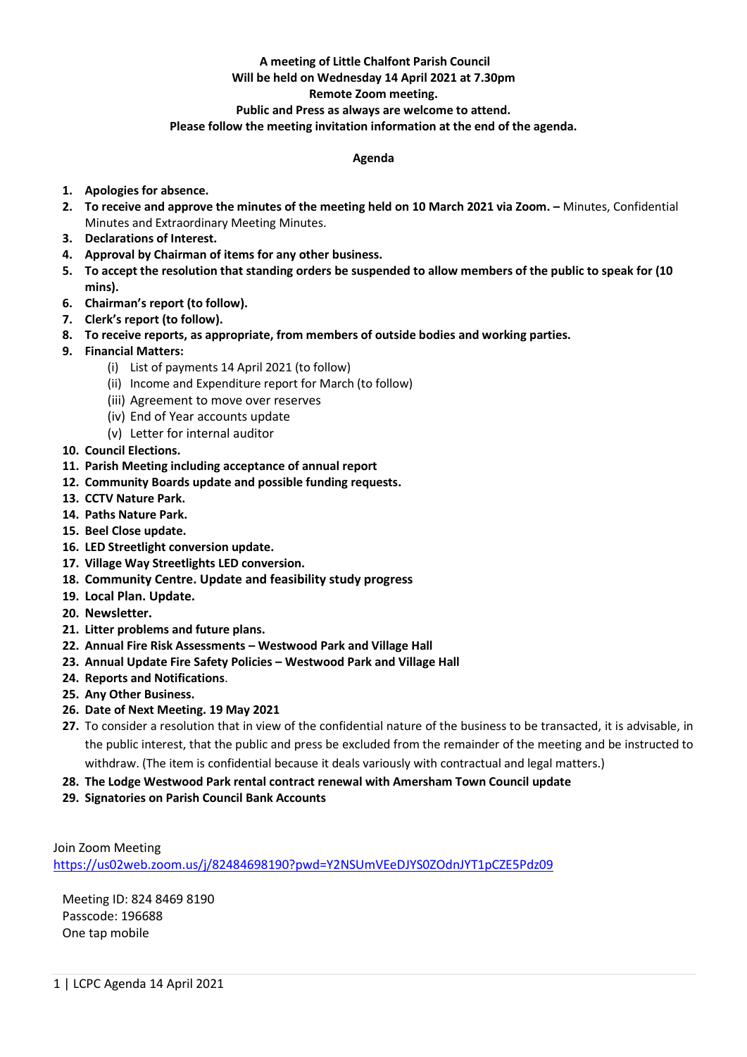#### **A meeting of Little Chalfont Parish Council Will be held on Wednesday 14 April 2021 at 7.30pm**

# **Remote Zoom meeting.**

## **Public and Press as always are welcome to attend.**

### **Please follow the meeting invitation information at the end of the agenda.**

#### **Agenda**

- **1. Apologies for absence.**
- **2. To receive and approve the minutes of the meeting held on 10 March 2021 via Zoom. –** Minutes, Confidential Minutes and Extraordinary Meeting Minutes.
- **3. Declarations of Interest.**
- **4. Approval by Chairman of items for any other business.**
- **5. To accept the resolution that standing orders be suspended to allow members of the public to speak for (10 mins).**
- **6. Chairman's report (to follow).**
- **7. Clerk's report (to follow).**
- **8. To receive reports, as appropriate, from members of outside bodies and working parties.**
- **9. Financial Matters:**
	- (i) List of payments 14 April 2021 (to follow)
	- (ii) Income and Expenditure report for March (to follow)
	- (iii) Agreement to move over reserves
	- (iv) End of Year accounts update
	- (v) Letter for internal auditor
- **10. Council Elections.**
- **11. Parish Meeting including acceptance of annual report**
- **12. Community Boards update and possible funding requests.**
- **13. CCTV Nature Park.**
- **14. Paths Nature Park.**
- **15. Beel Close update.**
- **16. LED Streetlight conversion update.**
- **17. Village Way Streetlights LED conversion.**
- **18. Community Centre. Update and feasibility study progress**
- **19. Local Plan. Update.**
- **20. Newsletter.**
- **21. Litter problems and future plans.**
- **22. Annual Fire Risk Assessments – Westwood Park and Village Hall**
- **23. Annual Update Fire Safety Policies – Westwood Park and Village Hall**
- **24. Reports and Notifications**.
- **25. Any Other Business.**
- **26. Date of Next Meeting. 19 May 2021**
- **27.** To consider a resolution that in view of the confidential nature of the business to be transacted, it is advisable, in the public interest, that the public and press be excluded from the remainder of the meeting and be instructed to withdraw. (The item is confidential because it deals variously with contractual and legal matters.)
- **28. The Lodge Westwood Park rental contract renewal with Amersham Town Council update**
- **29. Signatories on Parish Council Bank Accounts**

Join Zoom Meeting <https://us02web.zoom.us/j/82484698190?pwd=Y2NSUmVEeDJYS0ZOdnJYT1pCZE5Pdz09>

Meeting ID: 824 8469 8190 Passcode: 196688 One tap mobile